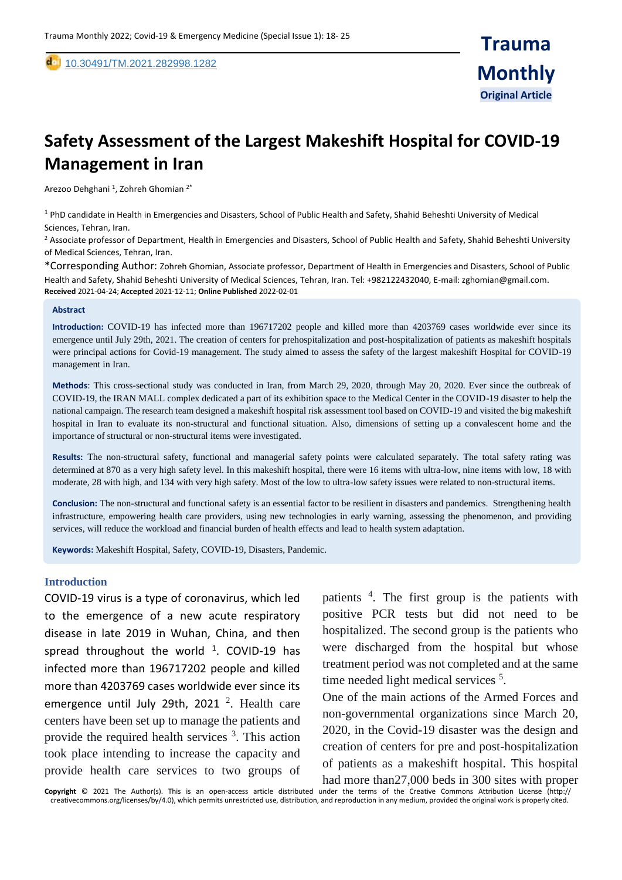[10](https://dx.doi.org/10.30491/tm.2021.264991.1218).30491/TM.2021.282998.1282

# **Safety Assessment of the Largest Makeshift Hospital for COVID-19 Management in Iran**

Arezoo Dehghani <sup>1</sup>, Zohreh Ghomian <sup>2\*</sup>

<sup>1</sup> PhD candidate in Health in Emergencies and Disasters, School of Public Health and Safety, Shahid Beheshti University of Medical Sciences, Tehran, Iran.

<sup>2</sup> Associate professor of Department, Health in Emergencies and Disasters, School of Public Health and Safety, Shahid Beheshti University of Medical Sciences, Tehran, Iran.

\*Corresponding Author: Zohreh Ghomian, Associate professor, Department of Health in Emergencies and Disasters, School of Public Health and Safety, Shahid Beheshti University of Medical Sciences, Tehran, Iran. Tel: +982122432040, E-mail: zghomian@gmail.com. **Received** 2021-04-24; **Accepted** 2021-12-11; **Online Published** 2022-02-01

#### **Abstract**

,

**Introduction:** COVID-19 has infected more than 196717202 people and killed more than 4203769 cases worldwide ever since its emergence until July 29th, 2021. The creation of centers for prehospitalization and post-hospitalization of patients as makeshift hospitals were principal actions for Covid-19 management. The study aimed to assess the safety of the largest makeshift Hospital for COVID-19 management in Iran.

**Methods**: This cross-sectional study was conducted in Iran, from March 29, 2020, through May 20, 2020. Ever since the outbreak of COVID-19, the IRAN MALL complex dedicated a part of its exhibition space to the Medical Center in the COVID-19 disaster to help the national campaign. The research team designed a makeshift hospital risk assessment tool based on COVID-19 and visited the big makeshift hospital in Iran to evaluate its non-structural and functional situation. Also, dimensions of setting up a convalescent home and the importance of structural or non-structural items were investigated.

**Results:** The non-structural safety, functional and managerial safety points were calculated separately. The total safety rating was determined at 870 as a very high safety level. In this makeshift hospital, there were 16 items with ultra-low, nine items with low, 18 with moderate, 28 with high, and 134 with very high safety. Most of the low to ultra-low safety issues were related to non-structural items.

**Conclusion:** The non-structural and functional safety is an essential factor to be resilient in disasters and pandemics. Strengthening health infrastructure, empowering health care providers, using new technologies in early warning, assessing the phenomenon, and providing services, will reduce the workload and financial burden of health effects and lead to health system adaptation.

**Keywords:** Makeshift Hospital, Safety, COVID-19, Disasters, Pandemic.

#### **Introduction**

COVID-19 virus is a type of coronavirus, which led to the emergence of a new acute respiratory disease in late 2019 in Wuhan, China, and then spread throughout the world  $1$ . COVID-19 has infected more than 196717202 people and killed more than 4203769 cases worldwide ever since its emergence until July 29th, 2021  $^2$ . Health care centers have been set up to manage the patients and provide the required health services  $3$ . This action took place intending to increase the capacity and provide health care services to two groups of

patients <sup>4</sup> . The first group is the patients with positive PCR tests but did not need to be hospitalized. The second group is the patients who were discharged from the hospital but whose treatment period was not completed and at the same time needed light medical services<sup>5</sup>.

One of the main actions of the Armed Forces and non-governmental organizations since March 20, 2020, in the Covid-19 disaster was the design and creation of centers for pre and post-hospitalization of patients as a makeshift hospital. This hospital

**Copyright** © 2021 The Author(s). This is an open-access article distributed under the terms of the Creative Commons Attribution License (http:// creativecommons.org/licenses/by/4.0), which permits unrestricted use, distribution, and reproduction in any medium, provided the original work is properly cited. had more than27,000 beds in 300 sites with proper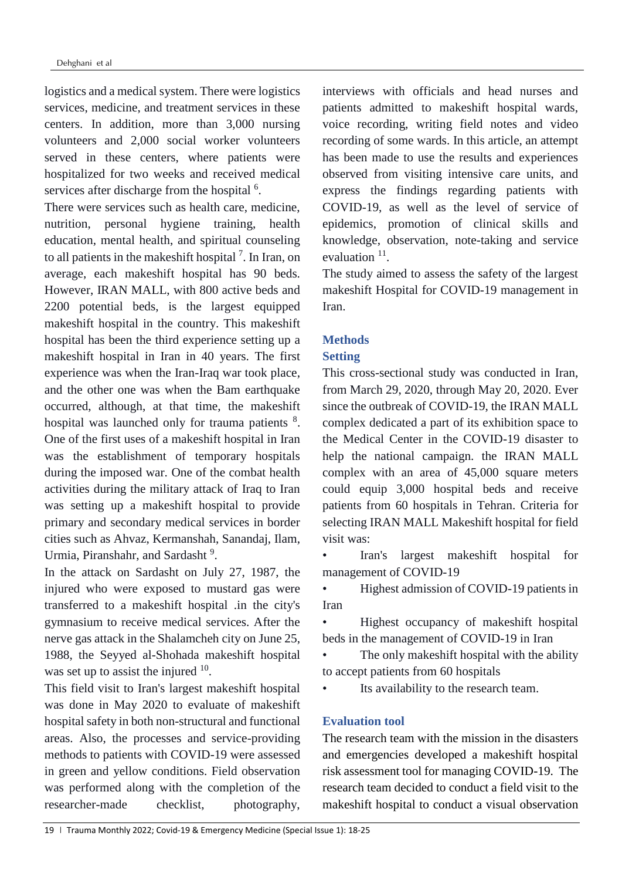logistics and a medical system. There were logistics services, medicine, and treatment services in these centers. In addition, more than 3,000 nursing volunteers and 2,000 social worker volunteers served in these centers, where patients were hospitalized for two weeks and received medical services after discharge from the hospital <sup>6</sup>.

There were services such as health care, medicine, nutrition, personal hygiene training, health education, mental health, and spiritual counseling to all patients in the makeshift hospital<sup>7</sup>. In Iran, on average, each makeshift hospital has 90 beds. However, IRAN MALL, with 800 active beds and 2200 potential beds, is the largest equipped makeshift hospital in the country. This makeshift hospital has been the third experience setting up a makeshift hospital in Iran in 40 years. The first experience was when the Iran-Iraq war took place, and the other one was when the Bam earthquake occurred, although, at that time, the makeshift hospital was launched only for trauma patients <sup>8</sup>. One of the first uses of a makeshift hospital in Iran was the establishment of temporary hospitals during the imposed war. One of the combat health activities during the military attack of Iraq to Iran was setting up a makeshift hospital to provide primary and secondary medical services in border cities such as Ahvaz, Kermanshah, Sanandaj, Ilam, Urmia, Piranshahr, and Sardasht<sup>9</sup>.

In the attack on Sardasht on July 27, 1987, the injured who were exposed to mustard gas were transferred to a makeshift hospital .in the city's gymnasium to receive medical services. After the nerve gas attack in the Shalamcheh city on June 25, 1988, the Seyyed al-Shohada makeshift hospital was set up to assist the injured  $10$ .

This field visit to Iran's largest makeshift hospital was done in May 2020 to evaluate of makeshift hospital safety in both non-structural and functional areas. Also, the processes and service-providing methods to patients with COVID-19 were assessed in green and yellow conditions. Field observation was performed along with the completion of the researcher-made checklist, photography,

interviews with officials and head nurses and patients admitted to makeshift hospital wards, voice recording, writing field notes and video recording of some wards. In this article, an attempt has been made to use the results and experiences observed from visiting intensive care units, and express the findings regarding patients with COVID-19, as well as the level of service of epidemics, promotion of clinical skills and knowledge, observation, note-taking and service evaluation  $11$ .

The study aimed to assess the safety of the largest makeshift Hospital for COVID-19 management in Iran.

# **Methods**

### **Setting**

This cross-sectional study was conducted in Iran, from March 29, 2020, through May 20, 2020. Ever since the outbreak of COVID-19, the IRAN MALL complex dedicated a part of its exhibition space to the Medical Center in the COVID-19 disaster to help the national campaign. the IRAN MALL complex with an area of 45,000 square meters could equip 3,000 hospital beds and receive patients from 60 hospitals in Tehran. Criteria for selecting IRAN MALL Makeshift hospital for field visit was:

• Iran's largest makeshift hospital for management of COVID-19

• Highest admission of COVID-19 patients in Iran

• Highest occupancy of makeshift hospital beds in the management of COVID-19 in Iran

• The only makeshift hospital with the ability to accept patients from 60 hospitals

• Its availability to the research team.

### **Evaluation tool**

The research team with the mission in the disasters and emergencies developed a makeshift hospital risk assessment tool for managing COVID-19. The research team decided to conduct a field visit to the makeshift hospital to conduct a visual observation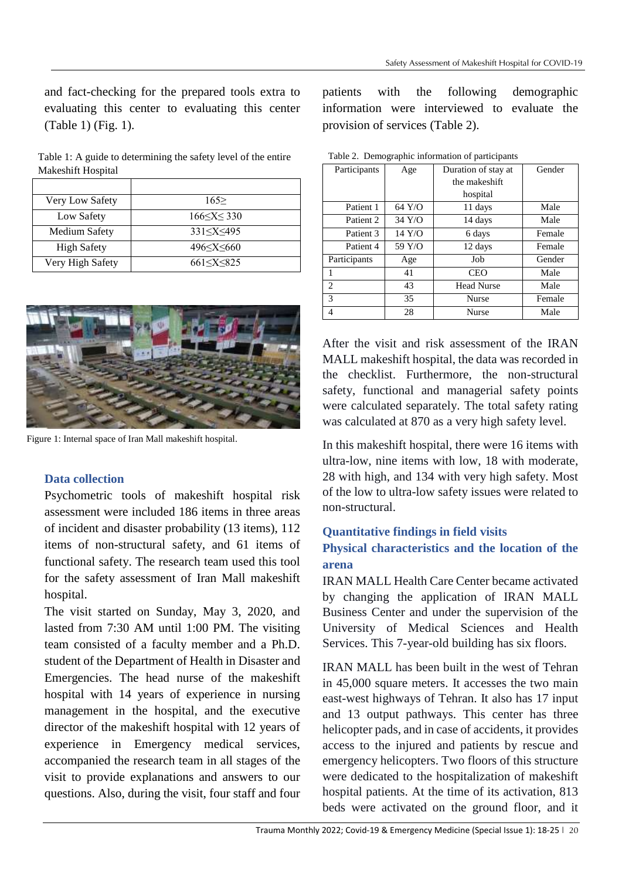and fact-checking for the prepared tools extra to evaluating this center to evaluating this center (Table 1) (Fig. 1).

Table 1: A guide to determining the safety level of the entire Makeshift Hospital

| Very Low Safety    | 165                         |
|--------------------|-----------------------------|
| Low Safety         | 166 < X < 330               |
| Medium Safety      | 331 < X < 495               |
| <b>High Safety</b> | 496 <x<660< td=""></x<660<> |
| Very High Safety   | 661 < X < 825               |



Figure 1: Internal space of Iran Mall makeshift hospital.

# **Data collection**

Psychometric tools of makeshift hospital risk assessment were included 186 items in three areas of incident and disaster probability (13 items), 112 items of non-structural safety, and 61 items of functional safety. The research team used this tool for the safety assessment of Iran Mall makeshift hospital.

The visit started on Sunday, May 3, 2020, and lasted from 7:30 AM until 1:00 PM. The visiting team consisted of a faculty member and a Ph.D. student of the Department of Health in Disaster and Emergencies. The head nurse of the makeshift hospital with 14 years of experience in nursing management in the hospital, and the executive director of the makeshift hospital with 12 years of experience in Emergency medical services, accompanied the research team in all stages of the visit to provide explanations and answers to our questions. Also, during the visit, four staff and four patients with the following demographic information were interviewed to evaluate the provision of services (Table 2).

| rable 2. Demographic information of participants |        |                     |        |  |
|--------------------------------------------------|--------|---------------------|--------|--|
| Participants                                     | Age    | Duration of stay at | Gender |  |
|                                                  |        | the makeshift       |        |  |
|                                                  |        | hospital            |        |  |
| Patient 1                                        | 64 Y/O | 11 days             | Male   |  |
| Patient 2                                        | 34 Y/O | 14 days             | Male   |  |
| Patient 3                                        | 14 Y/O | 6 days              | Female |  |
| Patient 4                                        | 59 Y/O | 12 days             | Female |  |
| Participants                                     | Age    | Job                 | Gender |  |
|                                                  | 41     | <b>CEO</b>          | Male   |  |
| 2                                                | 43     | <b>Head Nurse</b>   | Male   |  |
| 3                                                | 35     | <b>Nurse</b>        | Female |  |
| 4                                                | 28     | Nurse               | Male   |  |

Table 2. Demographic information of participants

After the visit and risk assessment of the IRAN MALL makeshift hospital, the data was recorded in the checklist. Furthermore, the non-structural safety, functional and managerial safety points were calculated separately. The total safety rating was calculated at 870 as a very high safety level.

In this makeshift hospital, there were 16 items with ultra-low, nine items with low, 18 with moderate, 28 with high, and 134 with very high safety. Most of the low to ultra-low safety issues were related to non-structural.

# **Quantitative findings in field visits**

# **Physical characteristics and the location of the arena**

IRAN MALL Health Care Center became activated by changing the application of IRAN MALL Business Center and under the supervision of the University of Medical Sciences and Health Services. This 7-year-old building has six floors.

IRAN MALL has been built in the west of Tehran in 45,000 square meters. It accesses the two main east-west highways of Tehran. It also has 17 input and 13 output pathways. This center has three helicopter pads, and in case of accidents, it provides access to the injured and patients by rescue and emergency helicopters. Two floors of this structure were dedicated to the hospitalization of makeshift hospital patients. At the time of its activation, 813 beds were activated on the ground floor, and it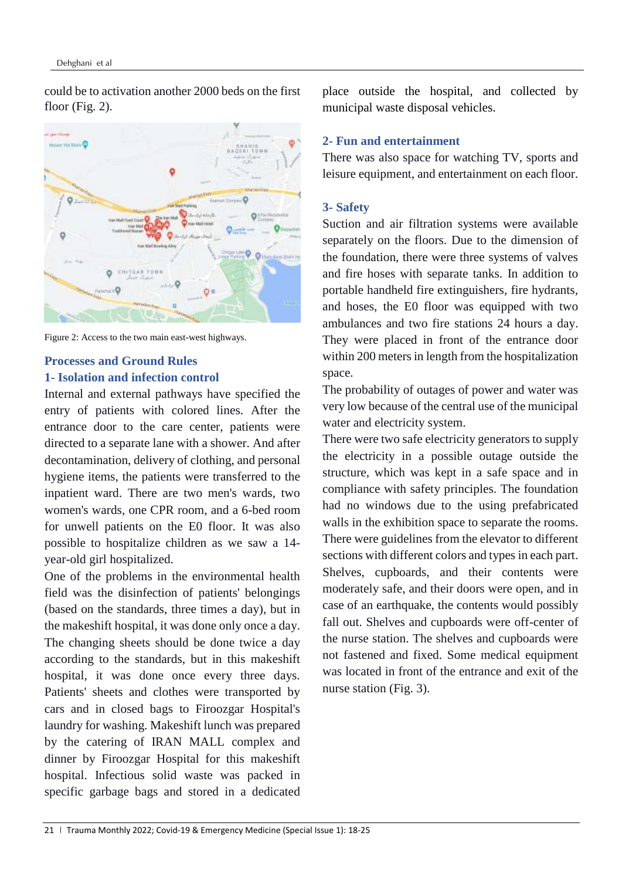could be to activation another 2000 beds on the first floor (Fig. 2).



Figure 2: Access to the two main east-west highways.

# **Processes and Ground Rules 1- Isolation and infection control**

Internal and external pathways have specified the entry of patients with colored lines. After the entrance door to the care center, patients were directed to a separate lane with a shower. And after decontamination, delivery of clothing, and personal hygiene items, the patients were transferred to the inpatient ward. There are two men's wards, two women's wards, one CPR room, and a 6-bed room for unwell patients on the E0 floor. It was also possible to hospitalize children as we saw a 14 year-old girl hospitalized.

One of the problems in the environmental health field was the disinfection of patients' belongings (based on the standards, three times a day), but in the makeshift hospital, it was done only once a day. The changing sheets should be done twice a day according to the standards, but in this makeshift hospital, it was done once every three days. Patients' sheets and clothes were transported by cars and in closed bags to Firoozgar Hospital's laundry for washing. Makeshift lunch was prepared by the catering of IRAN MALL complex and dinner by Firoozgar Hospital for this makeshift hospital. Infectious solid waste was packed in specific garbage bags and stored in a dedicated place outside the hospital, and collected by municipal waste disposal vehicles.

# **2- Fun and entertainment**

There was also space for watching TV, sports and leisure equipment, and entertainment on each floor.

# **3- Safety**

Suction and air filtration systems were available separately on the floors. Due to the dimension of the foundation, there were three systems of valves and fire hoses with separate tanks. In addition to portable handheld fire extinguishers, fire hydrants, and hoses, the E0 floor was equipped with two ambulances and two fire stations 24 hours a day. They were placed in front of the entrance door within 200 meters in length from the hospitalization space.

The probability of outages of power and water was very low because of the central use of the municipal water and electricity system.

There were two safe electricity generators to supply the electricity in a possible outage outside the structure, which was kept in a safe space and in compliance with safety principles. The foundation had no windows due to the using prefabricated walls in the exhibition space to separate the rooms. There were guidelines from the elevator to different sections with different colors and types in each part. Shelves, cupboards, and their contents were moderately safe, and their doors were open, and in case of an earthquake, the contents would possibly fall out. Shelves and cupboards were off-center of the nurse station. The shelves and cupboards were not fastened and fixed. Some medical equipment was located in front of the entrance and exit of the nurse station (Fig. 3).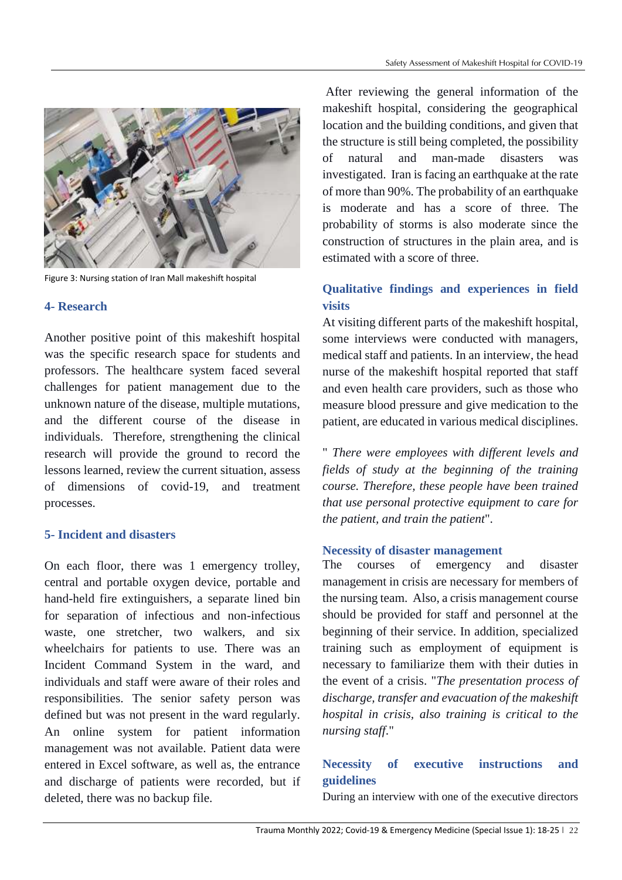

Figure 3: Nursing station of Iran Mall makeshift hospital

# **4- Research**

Another positive point of this makeshift hospital was the specific research space for students and professors. The healthcare system faced several challenges for patient management due to the unknown nature of the disease, multiple mutations, and the different course of the disease in individuals. Therefore, strengthening the clinical research will provide the ground to record the lessons learned, review the current situation, assess of dimensions of covid-19, and treatment processes.

# **5- Incident and disasters**

On each floor, there was 1 emergency trolley, central and portable oxygen device, portable and hand-held fire extinguishers, a separate lined bin for separation of infectious and non-infectious waste, one stretcher, two walkers, and six wheelchairs for patients to use. There was an Incident Command System in the ward, and individuals and staff were aware of their roles and responsibilities. The senior safety person was defined but was not present in the ward regularly. An online system for patient information management was not available. Patient data were entered in Excel software, as well as, the entrance and discharge of patients were recorded, but if deleted, there was no backup file.

After reviewing the general information of the makeshift hospital, considering the geographical location and the building conditions, and given that the structure is still being completed, the possibility of natural and man-made disasters was investigated. Iran is facing an earthquake at the rate of more than 90%. The probability of an earthquake is moderate and has a score of three. The probability of storms is also moderate since the construction of structures in the plain area, and is estimated with a score of three.

# **Qualitative findings and experiences in field visits**

At visiting different parts of the makeshift hospital, some interviews were conducted with managers, medical staff and patients. In an interview, the head nurse of the makeshift hospital reported that staff and even health care providers, such as those who measure blood pressure and give medication to the patient, are educated in various medical disciplines.

" *There were employees with different levels and fields of study at the beginning of the training course. Therefore, these people have been trained that use personal protective equipment to care for the patient, and train the patient*".

### **Necessity of disaster management**

The courses of emergency and disaster management in crisis are necessary for members of the nursing team. Also, a crisis management course should be provided for staff and personnel at the beginning of their service. In addition, specialized training such as employment of equipment is necessary to familiarize them with their duties in the event of a crisis. "*The presentation process of discharge, transfer and evacuation of the makeshift hospital in crisis, also training is critical to the nursing staff*."

# **Necessity of executive instructions and guidelines**

During an interview with one of the executive directors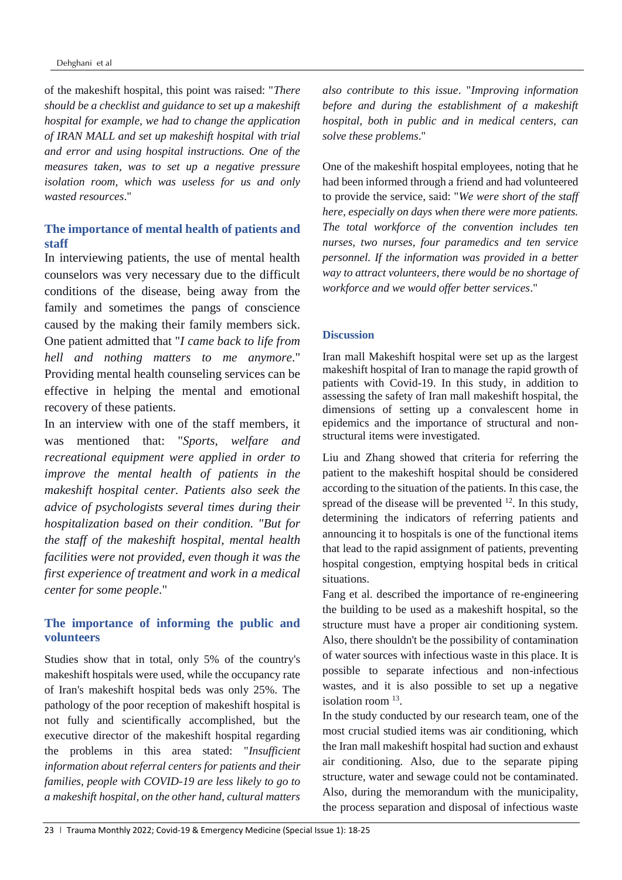of the makeshift hospital, this point was raised: "*There should be a checklist and guidance to set up a makeshift hospital for example, we had to change the application of IRAN MALL and set up makeshift hospital with trial and error and using hospital instructions. One of the measures taken, was to set up a negative pressure isolation room, which was useless for us and only wasted resources*."

# **The importance of mental health of patients and staff**

In interviewing patients, the use of mental health counselors was very necessary due to the difficult conditions of the disease, being away from the family and sometimes the pangs of conscience caused by the making their family members sick. One patient admitted that "*I came back to life from hell and nothing matters to me anymore*." Providing mental health counseling services can be effective in helping the mental and emotional recovery of these patients.

In an interview with one of the staff members, it was mentioned that: "*Sports, welfare and recreational equipment were applied in order to improve the mental health of patients in the makeshift hospital center. Patients also seek the advice of psychologists several times during their hospitalization based on their condition. "But for the staff of the makeshift hospital, mental health facilities were not provided, even though it was the first experience of treatment and work in a medical center for some people*."

### **The importance of informing the public and volunteers**

Studies show that in total, only 5% of the country's makeshift hospitals were used, while the occupancy rate of Iran's makeshift hospital beds was only 25%. The pathology of the poor reception of makeshift hospital is not fully and scientifically accomplished, but the executive director of the makeshift hospital regarding the problems in this area stated: "*Insufficient information about referral centers for patients and their families, people with COVID-19 are less likely to go to a makeshift hospital, on the other hand, cultural matters* 

*also contribute to this issue*. "*Improving information before and during the establishment of a makeshift hospital, both in public and in medical centers, can solve these problems*."

One of the makeshift hospital employees, noting that he had been informed through a friend and had volunteered to provide the service, said: "*We were short of the staff here, especially on days when there were more patients. The total workforce of the convention includes ten nurses, two nurses, four paramedics and ten service personnel. If the information was provided in a better way to attract volunteers, there would be no shortage of workforce and we would offer better services*."

#### **Discussion**

Iran mall Makeshift hospital were set up as the largest makeshift hospital of Iran to manage the rapid growth of patients with Covid-19. In this study, in addition to assessing the safety of Iran mall makeshift hospital, the dimensions of setting up a convalescent home in epidemics and the importance of structural and nonstructural items were investigated.

Liu and Zhang showed that criteria for referring the patient to the makeshift hospital should be considered according to the situation of the patients. In this case, the spread of the disease will be prevented  $12$ . In this study, determining the indicators of referring patients and announcing it to hospitals is one of the functional items that lead to the rapid assignment of patients, preventing hospital congestion, emptying hospital beds in critical situations.

Fang et al. described the importance of re-engineering the building to be used as a makeshift hospital, so the structure must have a proper air conditioning system. Also, there shouldn't be the possibility of contamination of water sources with infectious waste in this place. It is possible to separate infectious and non-infectious wastes, and it is also possible to set up a negative isolation room<sup>13</sup>.

In the study conducted by our research team, one of the most crucial studied items was air conditioning, which the Iran mall makeshift hospital had suction and exhaust air conditioning. Also, due to the separate piping structure, water and sewage could not be contaminated. Also, during the memorandum with the municipality, the process separation and disposal of infectious waste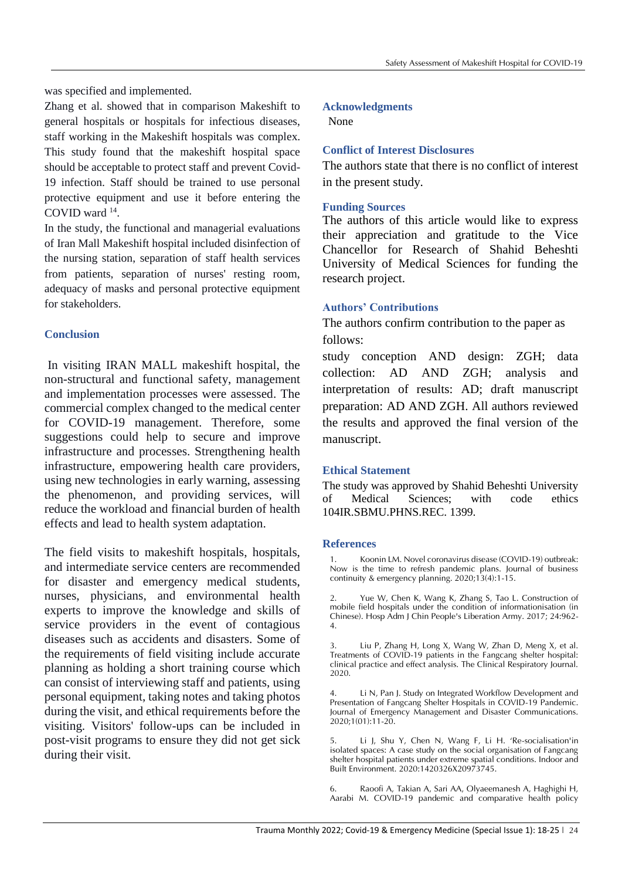was specified and implemented.

Zhang et al. showed that in comparison Makeshift to general hospitals or hospitals for infectious diseases, staff working in the Makeshift hospitals was complex. This study found that the makeshift hospital space should be acceptable to protect staff and prevent Covid-19 infection. Staff should be trained to use personal protective equipment and use it before entering the COVID ward <sup>14</sup> .

In the study, the functional and managerial evaluations of Iran Mall Makeshift hospital included disinfection of the nursing station, separation of staff health services from patients, separation of nurses' resting room, adequacy of masks and personal protective equipment for stakeholders.

### **Conclusion**

In visiting IRAN MALL makeshift hospital, the non-structural and functional safety, management and implementation processes were assessed. The commercial complex changed to the medical center for COVID-19 management. Therefore, some suggestions could help to secure and improve infrastructure and processes. Strengthening health infrastructure, empowering health care providers, using new technologies in early warning, assessing the phenomenon, and providing services, will reduce the workload and financial burden of health effects and lead to health system adaptation.

The field visits to makeshift hospitals, hospitals, and intermediate service centers are recommended for disaster and emergency medical students, nurses, physicians, and environmental health experts to improve the knowledge and skills of service providers in the event of contagious diseases such as accidents and disasters. Some of the requirements of field visiting include accurate planning as holding a short training course which can consist of interviewing staff and patients, using personal equipment, taking notes and taking photos during the visit, and ethical requirements before the visiting. Visitors' follow-ups can be included in post-visit programs to ensure they did not get sick during their visit.

### **Acknowledgments**

None

### **Conflict of Interest Disclosures**

The authors state that there is no conflict of interest in the present study.

#### **Funding Sources**

The authors of this article would like to express their appreciation and gratitude to the Vice Chancellor for Research of Shahid Beheshti University of Medical Sciences for funding the research project.

### **Authors' Contributions**

The authors confirm contribution to the paper as follows:

study conception AND design: ZGH; data collection: AD AND ZGH; analysis and interpretation of results: AD; draft manuscript preparation: AD AND ZGH. All authors reviewed the results and approved the final version of the manuscript.

### **Ethical Statement**

The study was approved by Shahid Beheshti University of Medical Sciences; with code ethics 104IR.SBMU.PHNS.REC. 1399.

#### **References**

Koonin LM. Novel coronavirus disease (COVID-19) outbreak: Now is the time to refresh pandemic plans. Journal of business continuity & emergency planning. 2020;13(4):1-15.

2. Yue W, Chen K, Wang K, Zhang S, Tao L. Construction of mobile field hospitals under the condition of informationisation (in Chinese). Hosp Adm J Chin People's Liberation Army. 2017; 24:962- 4.

3. Liu P, Zhang H, Long X, Wang W, Zhan D, Meng X, et al. Treatments of COVID-19 patients in the Fangcang shelter hospital: clinical practice and effect analysis. The Clinical Respiratory Journal. 2020.

4. Li N, Pan J. Study on Integrated Workflow Development and Presentation of Fangcang Shelter Hospitals in COVID-19 Pandemic. Journal of Emergency Management and Disaster Communications. 2020;1(01):11-20.

5. Li J, Shu Y, Chen N, Wang F, Li H. 'Re-socialisation'in isolated spaces: A case study on the social organisation of Fangcang shelter hospital patients under extreme spatial conditions. Indoor and Built Environment. 2020:1420326X20973745.

6. Raoofi A, Takian A, Sari AA, Olyaeemanesh A, Haghighi H, Aarabi M. COVID-19 pandemic and comparative health policy